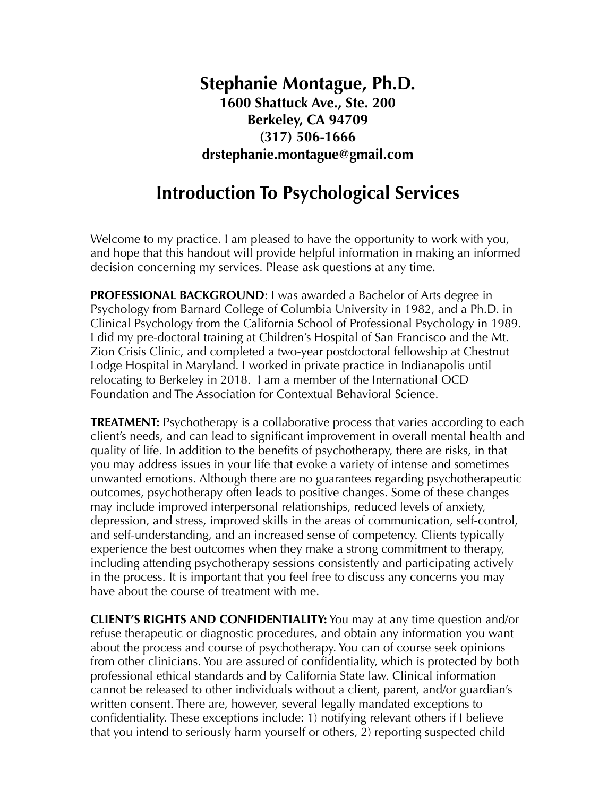## **Stephanie Montague, Ph.D. 1600 Shattuck Ave., Ste. 200 Berkeley, CA 94709 (317) 506-1666 drstephanie.montague@gmail.com**

## **Introduction To Psychological Services**

Welcome to my practice. I am pleased to have the opportunity to work with you, and hope that this handout will provide helpful information in making an informed decision concerning my services. Please ask questions at any time.

**PROFESSIONAL BACKGROUND**: I was awarded a Bachelor of Arts degree in Psychology from Barnard College of Columbia University in 1982, and a Ph.D. in Clinical Psychology from the California School of Professional Psychology in 1989. I did my pre-doctoral training at Children's Hospital of San Francisco and the Mt. Zion Crisis Clinic, and completed a two-year postdoctoral fellowship at Chestnut Lodge Hospital in Maryland. I worked in private practice in Indianapolis until relocating to Berkeley in 2018. I am a member of the International OCD Foundation and The Association for Contextual Behavioral Science.

**TREATMENT:** Psychotherapy is a collaborative process that varies according to each client's needs, and can lead to significant improvement in overall mental health and quality of life. In addition to the benefits of psychotherapy, there are risks, in that you may address issues in your life that evoke a variety of intense and sometimes unwanted emotions. Although there are no guarantees regarding psychotherapeutic outcomes, psychotherapy often leads to positive changes. Some of these changes may include improved interpersonal relationships, reduced levels of anxiety, depression, and stress, improved skills in the areas of communication, self-control, and self-understanding, and an increased sense of competency. Clients typically experience the best outcomes when they make a strong commitment to therapy, including attending psychotherapy sessions consistently and participating actively in the process. It is important that you feel free to discuss any concerns you may have about the course of treatment with me.

**CLIENT'S RIGHTS AND CONFIDENTIALITY:** You may at any time question and/or refuse therapeutic or diagnostic procedures, and obtain any information you want about the process and course of psychotherapy. You can of course seek opinions from other clinicians. You are assured of confidentiality, which is protected by both professional ethical standards and by California State law. Clinical information cannot be released to other individuals without a client, parent, and/or guardian's written consent. There are, however, several legally mandated exceptions to confidentiality. These exceptions include: 1) notifying relevant others if I believe that you intend to seriously harm yourself or others, 2) reporting suspected child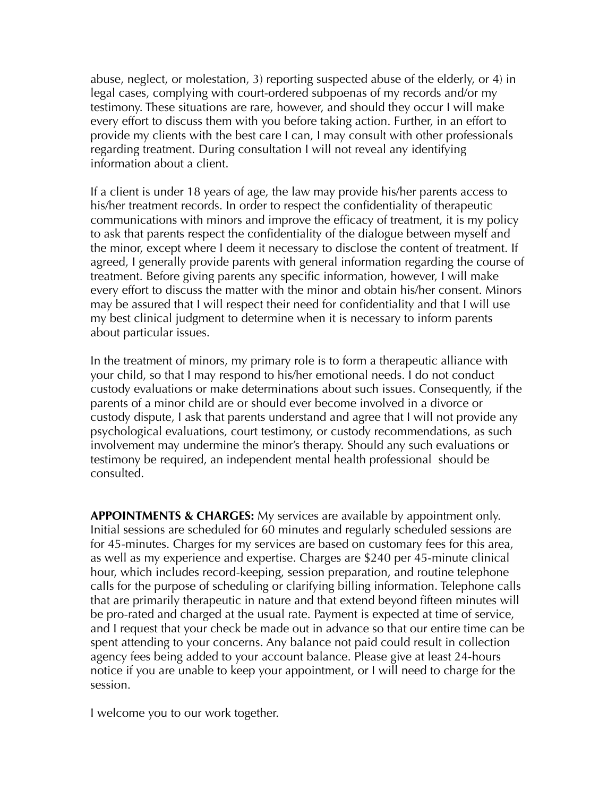abuse, neglect, or molestation, 3) reporting suspected abuse of the elderly, or 4) in legal cases, complying with court-ordered subpoenas of my records and/or my testimony. These situations are rare, however, and should they occur I will make every effort to discuss them with you before taking action. Further, in an effort to provide my clients with the best care I can, I may consult with other professionals regarding treatment. During consultation I will not reveal any identifying information about a client.

If a client is under 18 years of age, the law may provide his/her parents access to his/her treatment records. In order to respect the confidentiality of therapeutic communications with minors and improve the efficacy of treatment, it is my policy to ask that parents respect the confidentiality of the dialogue between myself and the minor, except where I deem it necessary to disclose the content of treatment. If agreed, I generally provide parents with general information regarding the course of treatment. Before giving parents any specific information, however, I will make every effort to discuss the matter with the minor and obtain his/her consent. Minors may be assured that I will respect their need for confidentiality and that I will use my best clinical judgment to determine when it is necessary to inform parents about particular issues.

In the treatment of minors, my primary role is to form a therapeutic alliance with your child, so that I may respond to his/her emotional needs. I do not conduct custody evaluations or make determinations about such issues. Consequently, if the parents of a minor child are or should ever become involved in a divorce or custody dispute, I ask that parents understand and agree that I will not provide any psychological evaluations, court testimony, or custody recommendations, as such involvement may undermine the minor's therapy. Should any such evaluations or testimony be required, an independent mental health professional should be consulted.

**APPOINTMENTS & CHARGES:** My services are available by appointment only. Initial sessions are scheduled for 60 minutes and regularly scheduled sessions are for 45-minutes. Charges for my services are based on customary fees for this area, as well as my experience and expertise. Charges are \$240 per 45-minute clinical hour, which includes record-keeping, session preparation, and routine telephone calls for the purpose of scheduling or clarifying billing information. Telephone calls that are primarily therapeutic in nature and that extend beyond fifteen minutes will be pro-rated and charged at the usual rate. Payment is expected at time of service, and I request that your check be made out in advance so that our entire time can be spent attending to your concerns. Any balance not paid could result in collection agency fees being added to your account balance. Please give at least 24-hours notice if you are unable to keep your appointment, or I will need to charge for the session.

I welcome you to our work together.